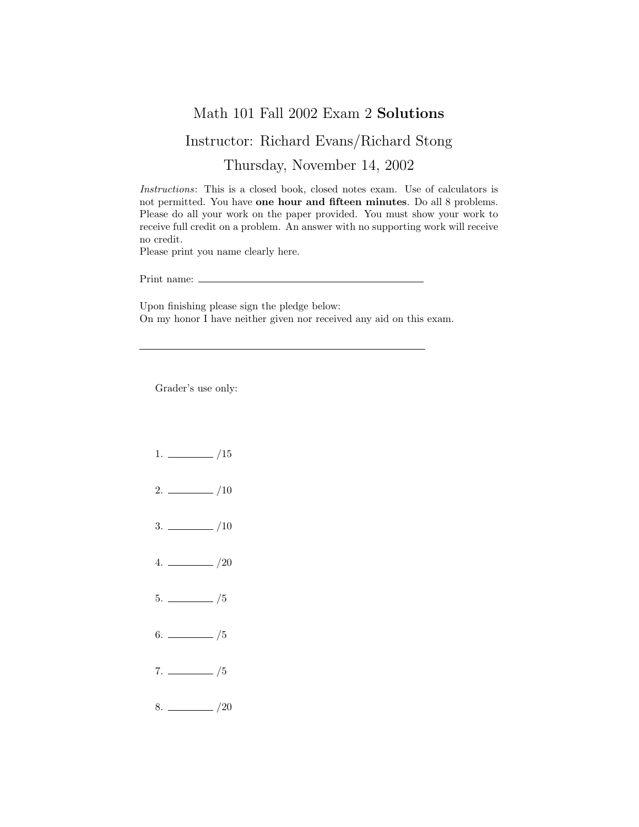## Math 101 Fall 2002 Exam 2 Solutions

## Instructor: Richard Evans/Richard Stong

Thursday, November 14, 2002

Instructions: This is a closed book, closed notes exam. Use of calculators is not permitted. You have one hour and fifteen minutes. Do all 8 problems. Please do all your work on the paper provided. You must show your work to receive full credit on a problem. An answer with no supporting work will receive no credit.

Please print you name clearly here.

Print name:

Upon finishing please sign the pledge below: On my honor I have neither given nor received any aid on this exam.

Grader's use only:

- $1. \ \_ \ \_ \ /15$
- $2. \ \frac{\ }{\ }$  /10
- $3. \ \frac{\ }{\ }$  /10
- $4. \ \_ 20$
- $5.$  /5
- $6.$  /5
- $7. \ \_/5$
- $8. \ \_$  /20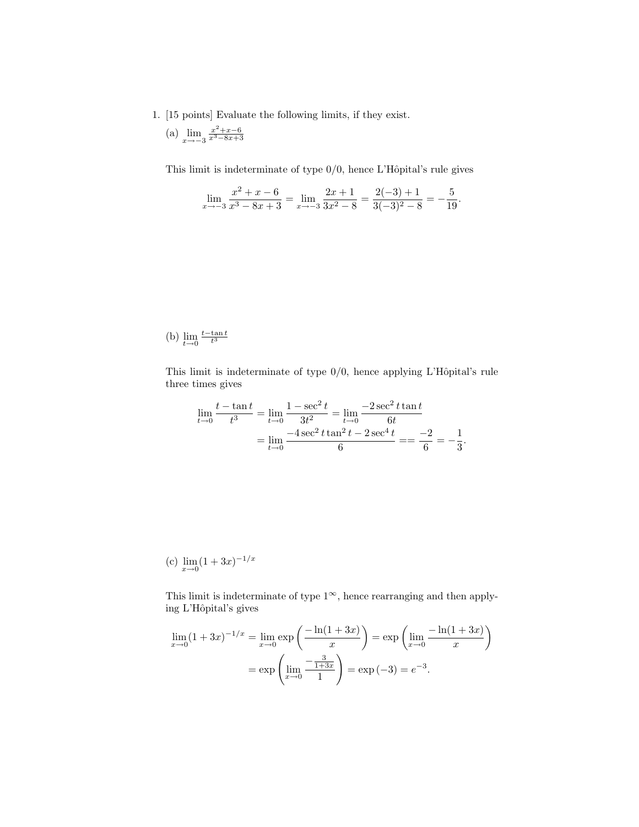- 1. [15 points] Evaluate the following limits, if they exist.
	- (a)  $\lim_{x \to -3} \frac{x^2 + x 6}{x^3 8x + 3}$

This limit is indeterminate of type  $0/0$ , hence L'Hôpital's rule gives

$$
\lim_{x \to -3} \frac{x^2 + x - 6}{x^3 - 8x + 3} = \lim_{x \to -3} \frac{2x + 1}{3x^2 - 8} = \frac{2(-3) + 1}{3(-3)^2 - 8} = -\frac{5}{19}.
$$

(b)  $\lim_{t\to 0} \frac{t-\tan t}{t^3}$ 

This limit is indeterminate of type  $0/0$ , hence applying L'Hôpital's rule three times gives

$$
\lim_{t \to 0} \frac{t - \tan t}{t^3} = \lim_{t \to 0} \frac{1 - \sec^2 t}{3t^2} = \lim_{t \to 0} \frac{-2 \sec^2 t \tan t}{6t}
$$

$$
= \lim_{t \to 0} \frac{-4 \sec^2 t \tan^2 t - 2 \sec^4 t}{6} = \frac{-2}{6} = -\frac{1}{3}.
$$

(c) 
$$
\lim_{x \to 0} (1 + 3x)^{-1/x}
$$

This limit is indeterminate of type  $1^{\infty}$ , hence rearranging and then applying L'Hôpital's gives

$$
\lim_{x \to 0} (1+3x)^{-1/x} = \lim_{x \to 0} \exp\left(\frac{-\ln(1+3x)}{x}\right) = \exp\left(\lim_{x \to 0} \frac{-\ln(1+3x)}{x}\right)
$$

$$
= \exp\left(\lim_{x \to 0} \frac{-\frac{3}{1+3x}}{1}\right) = \exp(-3) = e^{-3}.
$$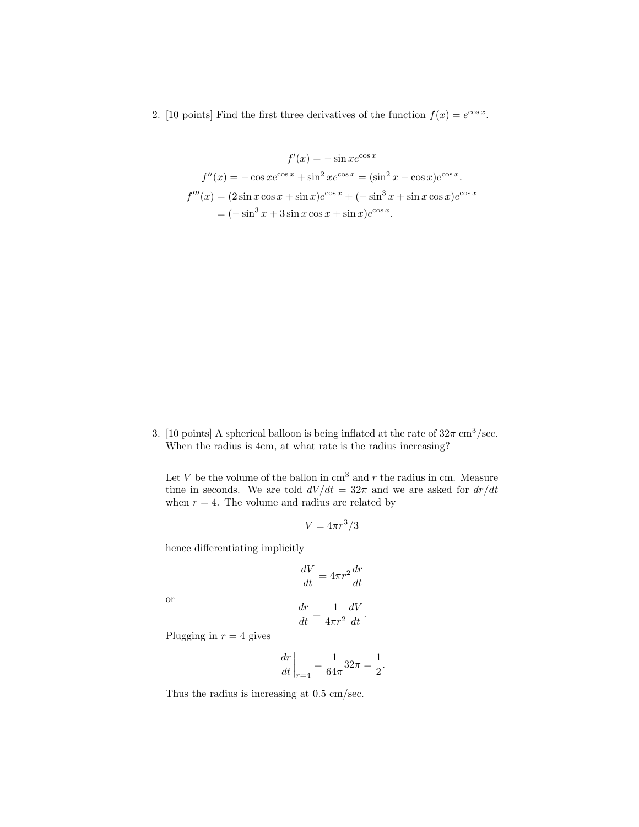2. [10 points] Find the first three derivatives of the function  $f(x) = e^{\cos x}$ .

$$
f'(x) = -\sin x e^{\cos x}
$$
  

$$
f''(x) = -\cos x e^{\cos x} + \sin^2 x e^{\cos x} = (\sin^2 x - \cos x) e^{\cos x}.
$$
  

$$
f'''(x) = (2\sin x \cos x + \sin x) e^{\cos x} + (-\sin^3 x + \sin x \cos x) e^{\cos x}
$$
  

$$
= (-\sin^3 x + 3\sin x \cos x + \sin x) e^{\cos x}.
$$

3. [10 points] A spherical balloon is being inflated at the rate of  $32\pi$  cm<sup>3</sup>/sec. When the radius is 4cm, at what rate is the radius increasing?

Let  $V$  be the volume of the ballon in  $\text{cm}^3$  and  $r$  the radius in  $\text{cm}$ . Measure time in seconds. We are told  $dV/dt = 32\pi$  and we are asked for  $dr/dt$ when  $r = 4$ . The volume and radius are related by

$$
V = 4\pi r^3/3
$$

hence differentiating implicitly

$$
\frac{dV}{dt} = 4\pi r^2 \frac{dr}{dt}
$$

or

$$
\frac{dr}{dt} = \frac{1}{4\pi r^2} \frac{dV}{dt}.
$$

Plugging in  $r = 4$  gives

$$
\left. \frac{dr}{dt} \right|_{r=4} = \frac{1}{64\pi} 32\pi = \frac{1}{2}.
$$

Thus the radius is increasing at 0.5 cm/sec.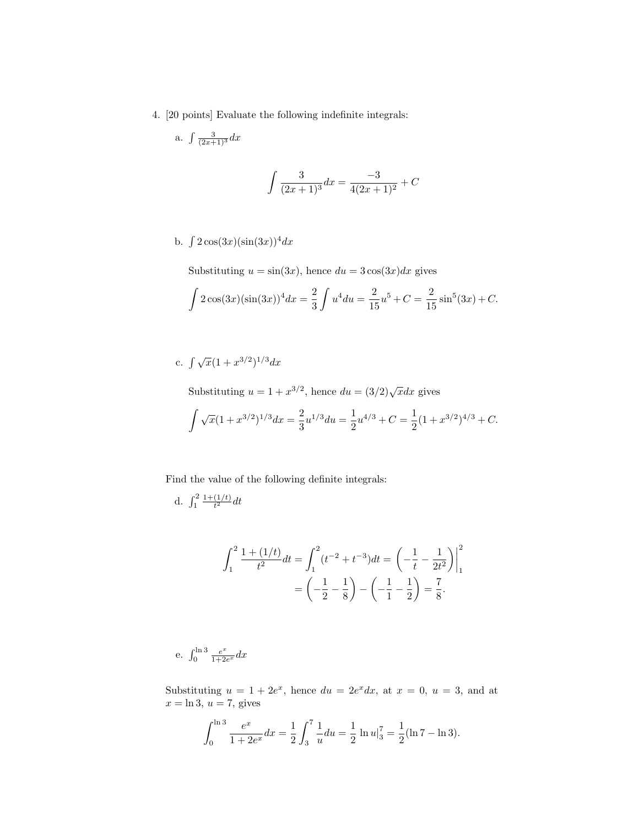4. [20 points] Evaluate the following indefinite integrals:

a. 
$$
\int \frac{3}{(2x+1)^3} dx
$$

$$
\int \frac{3}{(2x+1)^3} dx = \frac{-3}{4(2x+1)^2} + C
$$

b.  $\int 2\cos(3x)(\sin(3x))^4 dx$ 

Substituting  $u = \sin(3x)$ , hence  $du = 3\cos(3x)dx$  gives

$$
\int 2\cos(3x)(\sin(3x))^4 dx = \frac{2}{3}\int u^4 du = \frac{2}{15}u^5 + C = \frac{2}{15}\sin^5(3x) + C.
$$

## c.  $\int \sqrt{x}(1+x^{3/2})^{1/3}dx$

Substituting  $u = 1 + x^{3/2}$ , hence  $du = (3/2)\sqrt{x}dx$  gives

$$
\int \sqrt{x}(1+x^{3/2})^{1/3}dx = \frac{2}{3}u^{1/3}du = \frac{1}{2}u^{4/3} + C = \frac{1}{2}(1+x^{3/2})^{4/3} + C.
$$

Find the value of the following definite integrals:

d. 
$$
\int_1^2 \frac{1+(1/t)}{t^2} dt
$$

$$
\int_{1}^{2} \frac{1 + (1/t)}{t^2} dt = \int_{1}^{2} (t^{-2} + t^{-3}) dt = \left(-\frac{1}{t} - \frac{1}{2t^2}\right)\Big|_{1}^{2}
$$

$$
= \left(-\frac{1}{2} - \frac{1}{8}\right) - \left(-\frac{1}{1} - \frac{1}{2}\right) = \frac{7}{8}.
$$

e.  $\int_0^{\ln 3} \frac{e^x}{1+2}$  $\frac{e^x}{1+2e^x}dx$ 

Substituting  $u = 1 + 2e^x$ , hence  $du = 2e^x dx$ , at  $x = 0$ ,  $u = 3$ , and at  $x = \ln 3$ ,  $u = 7$ , gives

$$
\int_0^{\ln 3} \frac{e^x}{1+2e^x} dx = \frac{1}{2} \int_3^7 \frac{1}{u} du = \frac{1}{2} \ln u \Big|_3^7 = \frac{1}{2} (\ln 7 - \ln 3).
$$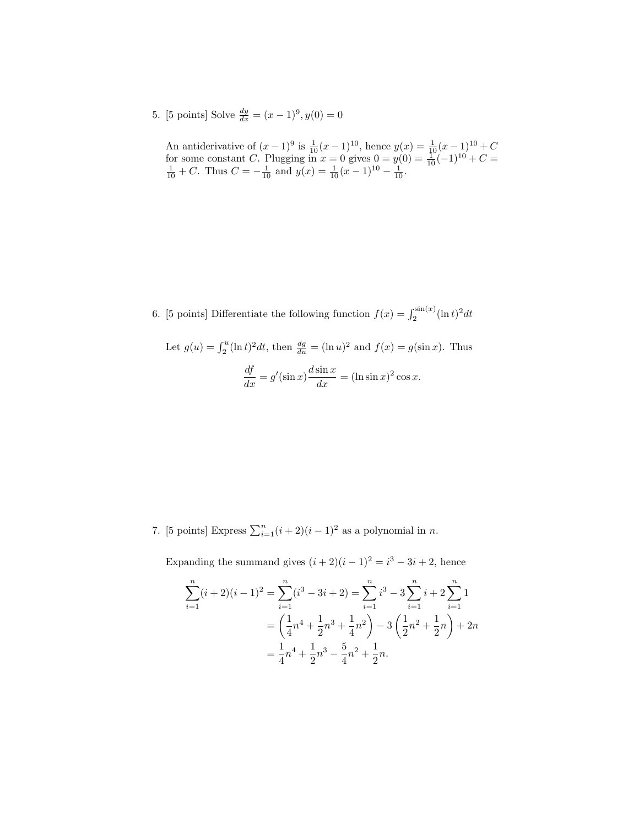5. [5 points] Solve  $\frac{dy}{dx} = (x-1)^9, y(0) = 0$ 

An antiderivative of  $(x-1)^9$  is  $\frac{1}{10}(x-1)^{10}$ , hence  $y(x) = \frac{1}{10}(x-1)^{10} + C$ for some constant C. Plugging in  $x = 0$  gives  $0 = y(0) = \frac{1}{10}(-1)^{10} + C = \frac{1}{10} + C$ . Thus  $C = -\frac{1}{10}$  and  $y(x) = \frac{1}{10}(x - 1)^{10} - \frac{1}{10}$ .

6. [5 points] Differentiate the following function  $f(x) = \int_2^{\sin(x)} (\ln t)^2 dt$ 

Let 
$$
g(u) = \int_2^u (\ln t)^2 dt
$$
, then  $\frac{dg}{du} = (\ln u)^2$  and  $f(x) = g(\sin x)$ . Thus  

$$
\frac{df}{dx} = g'(\sin x) \frac{d \sin x}{dx} = (\ln \sin x)^2 \cos x.
$$

7. [5 points] Express  $\sum_{i=1}^{n} (i+2)(i-1)^2$  as a polynomial in *n*.

Expanding the summand gives  $(i + 2)(i - 1)^2 = i^3 - 3i + 2$ , hence

$$
\sum_{i=1}^{n} (i+2)(i-1)^2 = \sum_{i=1}^{n} (i^3 - 3i + 2) = \sum_{i=1}^{n} i^3 - 3 \sum_{i=1}^{n} i + 2 \sum_{i=1}^{n} 1
$$
  
=  $\left(\frac{1}{4}n^4 + \frac{1}{2}n^3 + \frac{1}{4}n^2\right) - 3\left(\frac{1}{2}n^2 + \frac{1}{2}n\right) + 2n$   
=  $\frac{1}{4}n^4 + \frac{1}{2}n^3 - \frac{5}{4}n^2 + \frac{1}{2}n$ .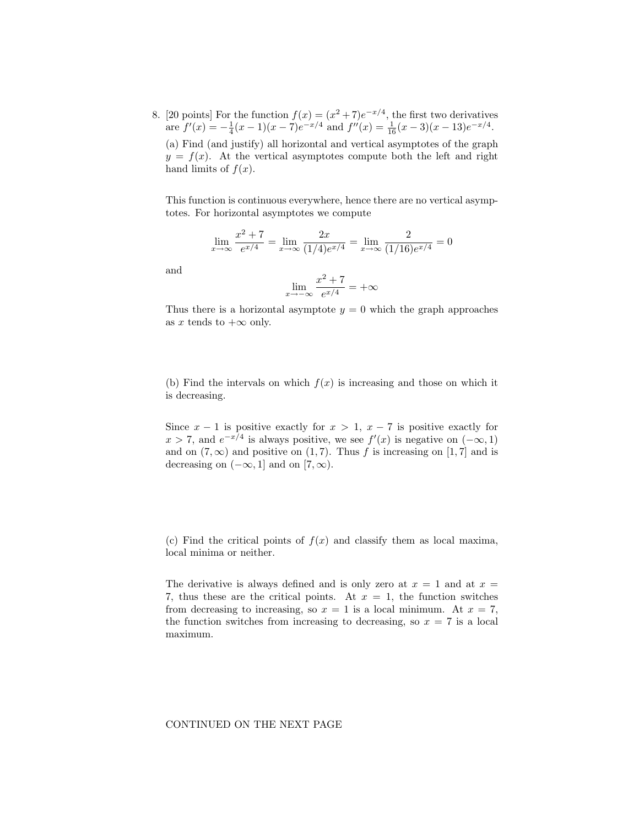8. [20 points] For the function  $f(x) = (x^2 + 7)e^{-x/4}$ , the first two derivatives are  $f'(x) = -\frac{1}{4}(x-1)(x-7)e^{-x/4}$  and  $f''(x) = \frac{1}{16}(x-3)(x-13)e^{-x/4}$ . (a) Find (and justify) all horizontal and vertical asymptotes of the graph  $y = f(x)$ . At the vertical asymptotes compute both the left and right hand limits of  $f(x)$ .

This function is continuous everywhere, hence there are no vertical asymptotes. For horizontal asymptotes we compute

$$
\lim_{x \to \infty} \frac{x^2 + 7}{e^{x/4}} = \lim_{x \to \infty} \frac{2x}{(1/4)e^{x/4}} = \lim_{x \to \infty} \frac{2}{(1/16)e^{x/4}} = 0
$$

and

$$
\lim_{x \to -\infty} \frac{x^2 + 7}{e^{x/4}} = +\infty
$$

Thus there is a horizontal asymptote  $y = 0$  which the graph approaches as x tends to  $+\infty$  only.

(b) Find the intervals on which  $f(x)$  is increasing and those on which it is decreasing.

Since  $x - 1$  is positive exactly for  $x > 1$ ,  $x - 7$  is positive exactly for  $x > 7$ , and  $e^{-x/4}$  is always positive, we see  $f'(x)$  is negative on  $(-\infty, 1)$ and on  $(7, \infty)$  and positive on  $(1, 7)$ . Thus f is increasing on  $[1, 7]$  and is decreasing on  $(-\infty, 1]$  and on  $[7, \infty)$ .

(c) Find the critical points of  $f(x)$  and classify them as local maxima, local minima or neither.

The derivative is always defined and is only zero at  $x = 1$  and at  $x =$ 7, thus these are the critical points. At  $x = 1$ , the function switches from decreasing to increasing, so  $x = 1$  is a local minimum. At  $x = 7$ , the function switches from increasing to decreasing, so  $x = 7$  is a local maximum.

## CONTINUED ON THE NEXT PAGE